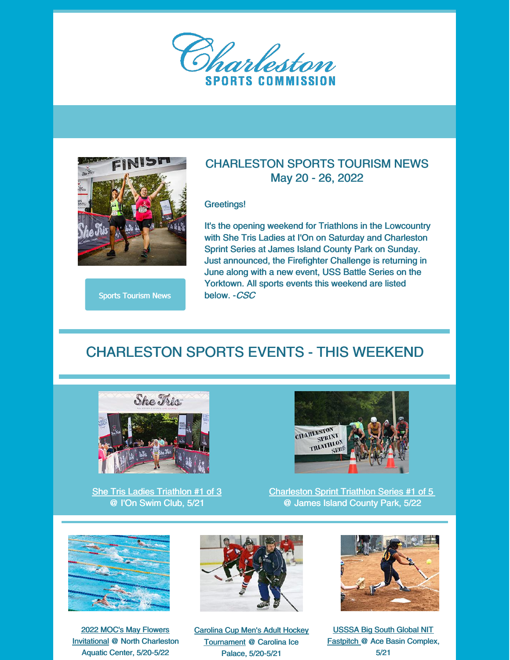



Sports [Tourism](https://www.charlestonsports.org/news/) News

#### CHARLESTON SPORTS TOURISM NEWS May 20 - 26, 2022

Greetings!

It's the opening weekend for Triathlons in the Lowcountry with She Tris Ladies at I'On on Saturday and Charleston Sprint Series at James Island County Park on Sunday. Just announced, the Firefighter Challenge is returning in June along with a new event, USS Battle Series on the Yorktown. All sports events this weekend are listed below. -CSC

#### CHARLESTON SPORTS EVENTS - THIS WEEKEND



She Tris Ladies [Triathlon](https://shetris.com/) #1 of 3 @ I'On Swim Club, 5/21



[Charleston](https://www.ccprc.com/1507/Charleston-Sprint-Triathlon) Sprint Triathlon Series #1 of 5 @ James Island County Park, 5/22



2022 MOC's May Flowers [Invitational](https://www.teamunify.com/team/szscslsc/page/home) @ North Charleston Aquatic Center, 5/20-5/22



Carolina Cup Men's Adult Hockey [Tournament](https://www.chehockey.com/events/category/tournaments/mens/charleston-south-carolina-mens-adult-hockey-tournament/) @ Carolina Ice Palace, 5/20-5/21



USSSA Big South Global NIT [Fastpitch](https://www.southcarolinausssa.com/fastpitch/tournaments/schedule) @ Ace Basin Complex, 5/21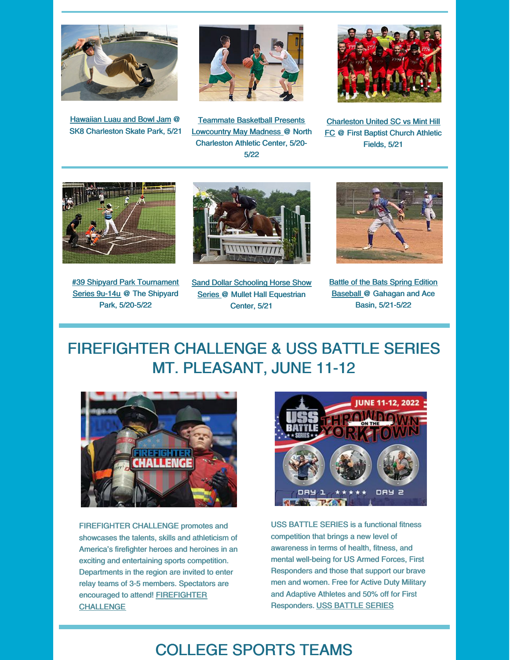

[Hawaiian](https://ccprc.com/Calendar.aspx?EID=11874&month=5&year=2022&day=21&calType=0) Luau and Bowl Jam @ SK8 [Charleston](https://ccprc.com/Calendar.aspx?EID=11874&month=5&year=2022&day=21&calType=0) Skate Park, 5/21



Teammate Basketball Presents [Lowcountry](https://teammatebasketball.com/tournaments/) May Madness @ North Charleston Athletic Center, 5/20- 5/22



[Charleston](https://www.charlestonunitedsoccer.com/) United SC vs Mint Hill FC @ First Baptist Church Athletic Fields, 5/21



#39 Shipyard Park [Tournament](https://shipyardpark.org/tournaments/) Series 9u-14u @ The Shipyard Park, 5/20-5/22



**Sand Dollar Schooling Horse Show** Series @ Mullet Hall [Equestrian](http://www.sanddollarshowseries.com/) Center, 5/21



**Battle of the Bats Spring Edition** Baseball @ [Gahagan](https://gamedayusssa.com/lowcountry-events) and Ace Basin, 5/21-5/22

## FIREFIGHTER CHALLENGE & USS BATTLE SERIES MT. PLEASANT, JUNE 11-12



FIREFIGHTER CHALLENGE promotes and showcases the talents, skills and athleticism of America's firefighter heroes and heroines in an exciting and entertaining sports competition. Departments in the region are invited to enter relay teams of 3-5 members. Spectators are encouraged to attend! [FIREFIGHTER](https://runsignup.com/Race/SC/MountPleasant/MountPleasantSCFirefighterChallengeduoUSSBattleSeriesEvent) CHALLENGE



USS BATTLE SERIES is a functional fitness competition that brings a new level of awareness in terms of health, fitness, and mental well-being for US Armed Forces, First Responders and those that support our brave men and women. Free for Active Duty Military and Adaptive Athletes and 50% off for First Responders. USS [BATTLE](https://ussbattleseries.com/events/aircraft-carrier-uss-yorktown/) SERIES

## COLLEGE SPORTS TEAMS